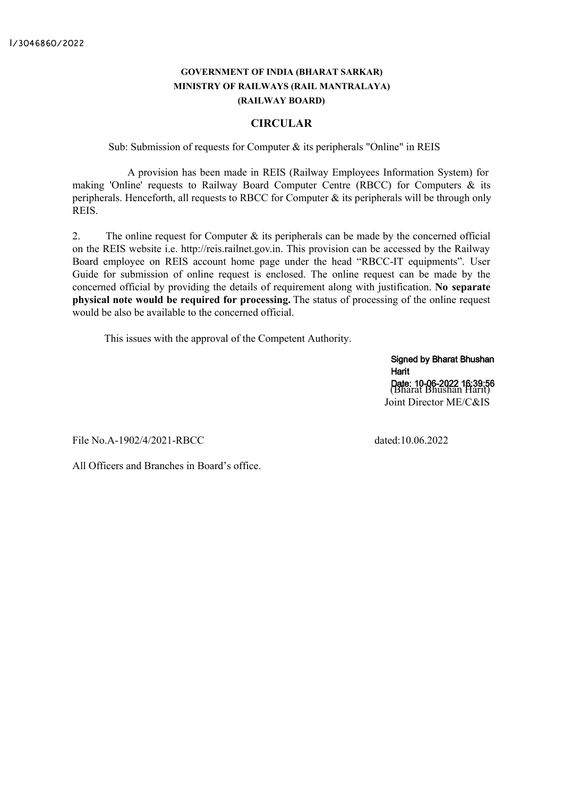### **GOVERNMENT OF INDIA (BHARAT SARKAR) MINISTRY OF RAILWAYS (RAIL MANTRALAYA) (RAILWAY BOARD)**

#### **CIRCULAR**

Sub: Submission of requests for Computer & its peripherals "Online" in REIS

A provision has been made in REIS (Railway Employees Information System) for making 'Online' requests to Railway Board Computer Centre (RBCC) for Computers & its peripherals. Henceforth, all requests to RBCC for Computer & its peripherals will be through only REIS.

2. The online request for Computer  $\&$  its peripherals can be made by the concerned official on the REIS website i.e. http://reis.railnet.gov.in. This provision can be accessed by the Railway Board employee on REIS account home page under the head "RBCC-IT equipments". User Guide for submission of online request is enclosed. The online request can be made by the concerned official by providing the details of requirement along with justification. **No separate physical note would be required for processing.** The status of processing of the online request would be also be available to the concerned official.

This issues with the approval of the Competent Authority.

Signed by Bharat Bhushan Harit Date: 10-06-2022 16:39:56<br>(Bharat Bhushan Harit) Joint Director ME/C&IS

File No.A-1902/4/2021-RBCC dated:10.06.2022

All Officers and Branches in Board's office.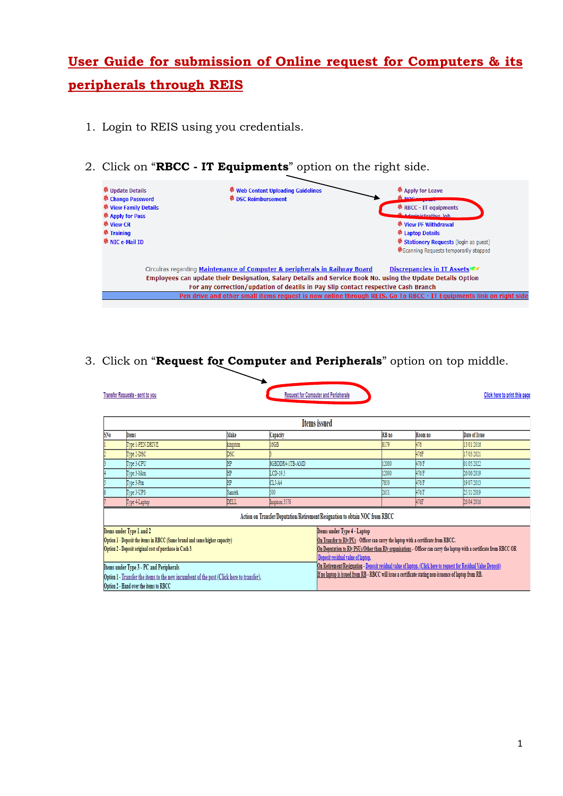# **User Guide for submission of Online request for Computers & its peripherals through REIS**

- 1. Login to REIS using you credentials.
- 2. Click on "**RBCC - IT Equipments**" option on the right side.

| <b><sup><sup>8</sup></sup></b> Update Details | <b><sup><sup>8</sup></sup></b> Web Content Uploading Guidelines                                                   | <b><sup>6</sup></b> Apply for Leave                  |
|-----------------------------------------------|-------------------------------------------------------------------------------------------------------------------|------------------------------------------------------|
| <sup>%</sup> Change Password                  | <sup>參</sup> DSC Reimbursement                                                                                    | <b>RENOCHAM</b>                                      |
| <sup>卷</sup> View Family Details              |                                                                                                                   | 卷 RBCC - IT equipments                               |
| <sup>%</sup> Apply for Pass                   |                                                                                                                   | Administrative Job                                   |
| <sup>卷</sup> View CR                          |                                                                                                                   | <sup>卷</sup> View PF Withdrawal                      |
| <sup>參</sup> Training                         |                                                                                                                   | <sup>卷</sup> Laptop Details                          |
| <b><i><sup>8</sup> NIC e-Mail ID</i></b>      |                                                                                                                   | <b><i>C</i></b> Stationery Requests (login as guest) |
|                                               |                                                                                                                   | Scanning Requests temporarily stopped                |
|                                               | Circulras regarding Maintenance of Computer & peripherals in Railway Board                                        | Discrepancies in IT AssetsNEW                        |
|                                               | Employees can update their Designation, Salary Details and Service Book No. using the Update Details Option       |                                                      |
|                                               | For any correction/updation of deatils in Pay Slip contact respective Cash Branch                                 |                                                      |
|                                               | Pen drive and other small items request is now online through REIS. Go To RBCC - IT Equipments link on right side |                                                      |
|                                               |                                                                                                                   |                                                      |

## 3. Click on "**Request for Computer and Peripherals**" option on top middle.

|                 | <b>Transfer Requests - sent to you</b>                                                                                                                                                                                                                                                                                                             |                |                 | <b>Request for Computer and Peripherals</b>                                                                                                                                                                                                                                                                                                                                           |       |         | Click here to print this page                                                                                         |
|-----------------|----------------------------------------------------------------------------------------------------------------------------------------------------------------------------------------------------------------------------------------------------------------------------------------------------------------------------------------------------|----------------|-----------------|---------------------------------------------------------------------------------------------------------------------------------------------------------------------------------------------------------------------------------------------------------------------------------------------------------------------------------------------------------------------------------------|-------|---------|-----------------------------------------------------------------------------------------------------------------------|
|                 |                                                                                                                                                                                                                                                                                                                                                    |                |                 | Items issued                                                                                                                                                                                                                                                                                                                                                                          |       |         |                                                                                                                       |
| SN <sub>0</sub> | <b>Items</b>                                                                                                                                                                                                                                                                                                                                       | Make           | Capacity        |                                                                                                                                                                                                                                                                                                                                                                                       | RB no | Room no | Date of Issue                                                                                                         |
|                 | Type 1-PEN DRIVE                                                                                                                                                                                                                                                                                                                                   | kingston       | 16GB            |                                                                                                                                                                                                                                                                                                                                                                                       | 8179  | 476     | 13/01/2016                                                                                                            |
|                 | Type 2-DSC                                                                                                                                                                                                                                                                                                                                         | <b>DSC</b>     |                 |                                                                                                                                                                                                                                                                                                                                                                                       |       | 476F    | 17/03/2021                                                                                                            |
|                 | Type 3-CPU                                                                                                                                                                                                                                                                                                                                         | 即              | 8GBDDR4-1TB-AMD |                                                                                                                                                                                                                                                                                                                                                                                       | 12000 | 476/F   | 01/05/2022                                                                                                            |
|                 | Type 3-Mon                                                                                                                                                                                                                                                                                                                                         | ŀΡ             | LCD-19.5        |                                                                                                                                                                                                                                                                                                                                                                                       | 12000 | 476/F   | 26/06/2019                                                                                                            |
|                 | Type 3-Pm                                                                                                                                                                                                                                                                                                                                          | H <sub>P</sub> | CLJ-A4          |                                                                                                                                                                                                                                                                                                                                                                                       | 7850  | 476/F   | 19/07/2013                                                                                                            |
|                 | Type 3-UPS                                                                                                                                                                                                                                                                                                                                         | <b>Samtek</b>  | 500             |                                                                                                                                                                                                                                                                                                                                                                                       | 2651  | 476F    | 25/11/2019                                                                                                            |
|                 | Type 4-Laptop                                                                                                                                                                                                                                                                                                                                      | DELL           | Inspiron 3576   |                                                                                                                                                                                                                                                                                                                                                                                       |       | 476F    | 26/04/2016                                                                                                            |
|                 |                                                                                                                                                                                                                                                                                                                                                    |                |                 | Action on Transfer/Deputation/Retirement/Resignation to obtain NOC from RBCC                                                                                                                                                                                                                                                                                                          |       |         |                                                                                                                       |
|                 | Items under Type 1 and 2<br>Option 1 - Deposit the items in RBCC (Same brand and same/higher capacity)<br>Option 2 - Deposit original cost of purchase in Cash 3.<br>Items under Type 3 - PC and Peripherals<br>Option 1 - Transfer the items to the new incumbent of the post (Click here to transfer).<br>Option 2 - Hand over the items to RBCC |                |                 | Items under Type 4 - Laptop<br>On Transfer to Rly/PUs - Officer can carry the laptop with a certificate from RBCC.<br>Deposit residual value of laptop.<br>On Retirement/Resignation - Deposit residual value of laptop. (Click here to request for Residual Value Deposit)<br>If no laptop is issued from RB - RBCC will issue a certificate stating non-issuence of laptop from RB. |       |         | On Deputation to Rly PSUs/Other than Rly organisations - Officer can carry the laptop with a certificate from RBCC OR |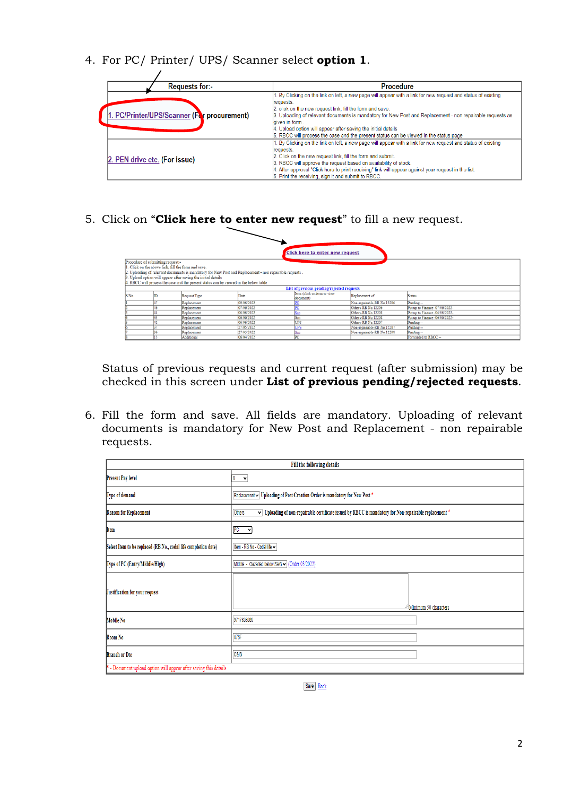4. For PC/ Printer/ UPS/ Scanner select **option 1**.

| <b>Requests for:</b> -                      | <b>Procedure</b>                                                                                                                                                                                                                                                                                                                                                                                                                                                                  |
|---------------------------------------------|-----------------------------------------------------------------------------------------------------------------------------------------------------------------------------------------------------------------------------------------------------------------------------------------------------------------------------------------------------------------------------------------------------------------------------------------------------------------------------------|
| 1. PC/Printer/UPS/Scanner (For procurement) | 1. By Clicking on the link on left, a new page will appear with a link for new request and status of existing<br>requests.<br>2. click on the new request link, fill the form and save.<br>3. Uploading of relevant documents is mandatory for New Post and Replacement - non repairable requests as<br>laiven in form.<br>4. Upload option will appear after saving the initial details<br>5. RBCC will process the case and the present status can be viewed in the status page |
| 2. PEN drive etc. (For issue)               | 1. By Clicking on the link on left, a new page will appear with a link for new request and status of existing<br>requests.<br>2. Click on the new request link, fill the form and submit.<br>3. RBCC will approve the request based on availability of stock.<br>4. After approval "Click here to print receiving" link will appear against your request in the list.<br>5. Print the receiving, sign it and submit to RBCC.                                                      |

5. Click on "**Click here to enter new request**" to fill a new request.

|       |                                                                                          |                                                                                                                                                                                                                                                                  |            | <b>Click here to enter new request</b>     |                            |                                |
|-------|------------------------------------------------------------------------------------------|------------------------------------------------------------------------------------------------------------------------------------------------------------------------------------------------------------------------------------------------------------------|------------|--------------------------------------------|----------------------------|--------------------------------|
|       | Procedure of submitting request:-<br>1. Click on the above link. fill the form and save. | 2. Uploading of relevant documents is mandatory for New Post and Replacement - non repairable requests.<br>3. Upload option will appear after saving the initial details<br>. RBCC will process the case and the present status can be viewed in the below table |            |                                            |                            |                                |
|       |                                                                                          |                                                                                                                                                                                                                                                                  |            | List of previous pending/rejected requests |                            |                                |
| S.No. | m                                                                                        | Request Type                                                                                                                                                                                                                                                     | Date       | Item (click on item to view<br>document)   | Replacement of             | <b>Status</b>                  |
|       |                                                                                          | Replacement                                                                                                                                                                                                                                                      | 09/06/2022 |                                            | Non-repairable-RB No.12206 | Pending --                     |
|       | 46                                                                                       | Replacement                                                                                                                                                                                                                                                      | 07/06/2022 |                                            | Others-RB No.12206         | Put up to Finance -07/06/2022- |
|       | 44                                                                                       | Replacement                                                                                                                                                                                                                                                      | 06/06/2022 | ićn                                        | Others-RB No.12208         | Put up to Finance -06/06/2022- |
|       |                                                                                          | Replacement                                                                                                                                                                                                                                                      | 06/06/2022 | Scn                                        | Others-RB No.12208         | Put up to Finance -06/06/2022- |
|       |                                                                                          | Replacement                                                                                                                                                                                                                                                      | 06/06/2022 | UPS                                        | Others-RB No.12207         | Pending --                     |
|       |                                                                                          | Replacement                                                                                                                                                                                                                                                      | 27/05/2022 | <b>JPS</b>                                 | Non-repairable-RB No.12207 | Pending --                     |
|       |                                                                                          | Replacement                                                                                                                                                                                                                                                      | 27/05/2022 |                                            | Non-repairable-RB No.12208 | Pending --                     |
|       |                                                                                          | Additional                                                                                                                                                                                                                                                       | 06/04/2022 | <b>DC</b>                                  |                            | Forwarded to RBCC --           |

Status of previous requests and current request (after submission) may be checked in this screen under **List of previous pending/rejected requests**.

6. Fill the form and save. All fields are mandatory. Uploading of relevant documents is mandatory for New Post and Replacement - non repairable requests.

|                                                                  | Fill the following details                                                                                                                |  |  |
|------------------------------------------------------------------|-------------------------------------------------------------------------------------------------------------------------------------------|--|--|
| Present Pay level                                                | 8<br>$\checkmark$                                                                                                                         |  |  |
| Type of demand                                                   | Replacement v Uploading of Post Creation Order is mandatory for New Post *                                                                |  |  |
| Reason for Replacement                                           | $\overline{\vee}$ Uploading of non-repairable certificate issued by RBCC is mandatory for Non-repairable replacement $^{\star}$<br>Others |  |  |
| Item                                                             | $PC$ $\vee$                                                                                                                               |  |  |
| Select Item to be replaced (RB No., codal life completion date)  | Item - RB No - Codal life ↓                                                                                                               |  |  |
| Type of PC (Entry/Middle/High)                                   | Middle - Gazetted below SAG v (Order 03/2022)                                                                                             |  |  |
| Justification for your request                                   | Alinimum 50 characters                                                                                                                    |  |  |
| Mobile No                                                        | 9717635889                                                                                                                                |  |  |
| Room No                                                          | 476F                                                                                                                                      |  |  |
| <b>Branch or Dte</b>                                             | <b>C&amp;IS</b>                                                                                                                           |  |  |
| * - Document upload option will appear after saving this details |                                                                                                                                           |  |  |

Save Back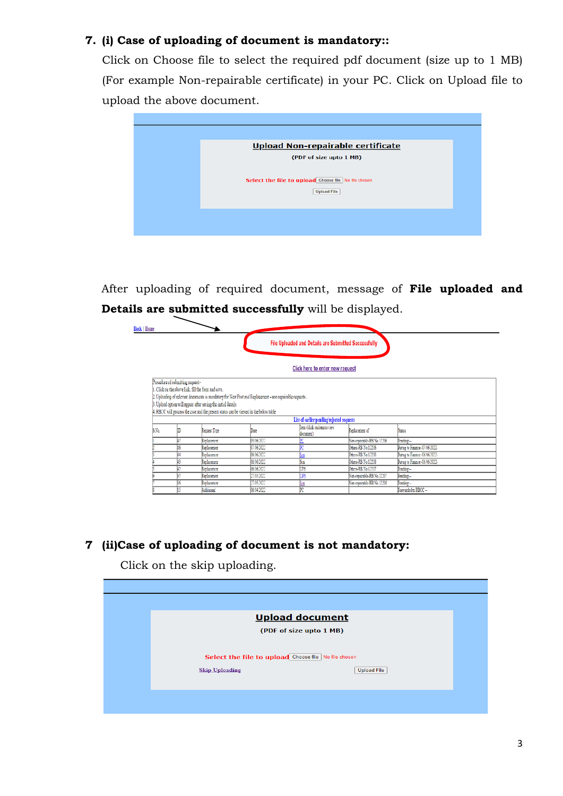## **7. (i) Case of uploading of document is mandatory::**

Click on Choose file to select the required pdf document (size up to 1 MB) (For example Non-repairable certificate) in your PC. Click on Upload file to upload the above document.



After uploading of required document, message of **File uploaded and Details are submitted successfully** will be displayed.

| <b>Back   Home</b> |                                   |                                                                                                                                                                                                               |                                                                                                         |                                                                                      |                            |                                |
|--------------------|-----------------------------------|---------------------------------------------------------------------------------------------------------------------------------------------------------------------------------------------------------------|---------------------------------------------------------------------------------------------------------|--------------------------------------------------------------------------------------|----------------------------|--------------------------------|
|                    |                                   |                                                                                                                                                                                                               |                                                                                                         | File Uploaded and Details are Submitted Successfully                                 |                            |                                |
|                    |                                   |                                                                                                                                                                                                               |                                                                                                         | Click here to enter new request                                                      |                            |                                |
|                    | Procedure of submitting request:- | 1. Click on the above link, fill the form and save.<br>3. Uploed option will appear after saving the initial details<br>4. RBCC will process the case and the present status can be viewed in the below table | 2. Uploading of relevant documents is mandatory for New Post and Replacement - non repairable requests. |                                                                                      |                            |                                |
| SNo.               |                                   | Recuest Type                                                                                                                                                                                                  | Date                                                                                                    | List of earlier pending/rejected requests<br>tem (click on item to view<br>document) | Replacement of             | Status                         |
|                    |                                   | Replacement                                                                                                                                                                                                   | 09/06/2022                                                                                              |                                                                                      | Non-repairable-RB No.12206 | Perding-                       |
|                    |                                   | Replacement                                                                                                                                                                                                   | 07/06/2022                                                                                              |                                                                                      | Others-RB No.12206         | Put up to Finance -07/06/2022- |
|                    |                                   | Replacement                                                                                                                                                                                                   | 06/06/2022                                                                                              | ŠМ                                                                                   | Others-RB No.12208         | Put up to Finance -06/06/2022- |
|                    |                                   | Replacement                                                                                                                                                                                                   | 06/06/2022                                                                                              | Ŝш                                                                                   | Others-RB No.12208         | Put up to Finance -06/06/2022- |
|                    |                                   | Replacement                                                                                                                                                                                                   | 06/06/2022                                                                                              | Τß                                                                                   | Others-RB No. 12207        | Perding-                       |
|                    |                                   | Replacement                                                                                                                                                                                                   | 27/05/2022                                                                                              | UPS                                                                                  | Non-repairable-RB No.12207 | Pending --                     |
|                    |                                   | Replacement                                                                                                                                                                                                   | 21/05/2022                                                                                              | ßм                                                                                   | Non-repairable-RB No.12208 | Pending-                       |
|                    |                                   | Additional                                                                                                                                                                                                    | 06/04/2022                                                                                              | ÞC                                                                                   |                            | Forwarded to RBCC --           |

## **7 (ii)Case of uploading of document is not mandatory:**

Click on the skip uploading.

|                       | <b>Upload document</b>                               |                    |
|-----------------------|------------------------------------------------------|--------------------|
|                       | (PDF of size upto 1 MB)                              |                    |
|                       | Select the file to upload Choose file No file chosen |                    |
| <b>Skip Uploading</b> |                                                      | <b>Upload File</b> |